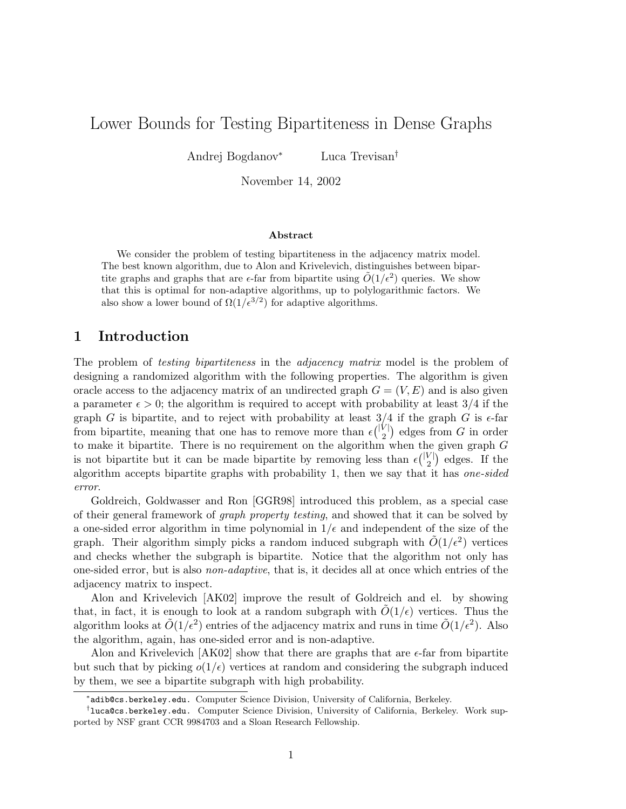# Lower Bounds for Testing Bipartiteness in Dense Graphs

Andrej Bogdanov<sup>∗</sup> Luca Trevisan†

November 14, 2002

#### Abstract

We consider the problem of testing bipartiteness in the adjacency matrix model. The best known algorithm, due to Alon and Krivelevich, distinguishes between bipartite graphs and graphs that are  $\epsilon$ -far from bipartite using  $\tilde{O}(1/\epsilon^2)$  queries. We show that this is optimal for non-adaptive algorithms, up to polylogarithmic factors. We also show a lower bound of  $\Omega(1/\epsilon^{3/2})$  for adaptive algorithms.

### 1 Introduction

The problem of *testing bipartiteness* in the *adjacency matrix* model is the problem of designing a randomized algorithm with the following properties. The algorithm is given oracle access to the adjacency matrix of an undirected graph  $G = (V, E)$  and is also given a parameter  $\epsilon > 0$ ; the algorithm is required to accept with probability at least 3/4 if the graph G is bipartite, and to reject with probability at least  $3/4$  if the graph G is  $\epsilon$ -far from bipartite, meaning that one has to remove more than  $\epsilon \binom{|V|}{2}$  $\binom{V}{2}$  edges from G in order to make it bipartite. There is no requirement on the algorithm when the given graph G is not bipartite but it can be made bipartite by removing less than  $\epsilon \binom{|V|}{2}$  $\binom{V}{2}$  edges. If the algorithm accepts bipartite graphs with probability 1, then we say that it has one-sided error.

Goldreich, Goldwasser and Ron [GGR98] introduced this problem, as a special case of their general framework of graph property testing, and showed that it can be solved by a one-sided error algorithm in time polynomial in  $1/\epsilon$  and independent of the size of the graph. Their algorithm simply picks a random induced subgraph with  $\tilde{O}(1/\epsilon^2)$  vertices and checks whether the subgraph is bipartite. Notice that the algorithm not only has one-sided error, but is also non-adaptive, that is, it decides all at once which entries of the adjacency matrix to inspect.

Alon and Krivelevich [AK02] improve the result of Goldreich and el. by showing that, in fact, it is enough to look at a random subgraph with  $O(1/\epsilon)$  vertices. Thus the algorithm looks at  $\tilde{O}(1/\epsilon^2)$  entries of the adjacency matrix and runs in time  $\tilde{O}(1/\epsilon^2)$ . Also the algorithm, again, has one-sided error and is non-adaptive.

Alon and Krivelevich  $AK02$  show that there are graphs that are  $\epsilon$ -far from bipartite but such that by picking  $o(1/\epsilon)$  vertices at random and considering the subgraph induced by them, we see a bipartite subgraph with high probability.

<sup>∗</sup> adib@cs.berkeley.edu. Computer Science Division, University of California, Berkeley.

<sup>†</sup> luca@cs.berkeley.edu. Computer Science Division, University of California, Berkeley. Work supported by NSF grant CCR 9984703 and a Sloan Research Fellowship.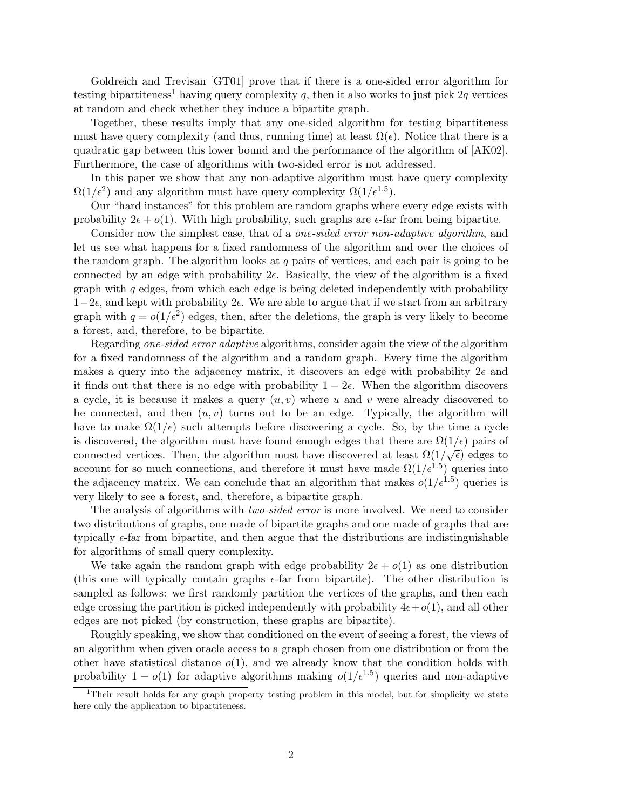Goldreich and Trevisan [GT01] prove that if there is a one-sided error algorithm for testing bipartiteness<sup>1</sup> having query complexity q, then it also works to just pick  $2q$  vertices at random and check whether they induce a bipartite graph.

Together, these results imply that any one-sided algorithm for testing bipartiteness must have query complexity (and thus, running time) at least  $\Omega(\epsilon)$ . Notice that there is a quadratic gap between this lower bound and the performance of the algorithm of [AK02]. Furthermore, the case of algorithms with two-sided error is not addressed.

In this paper we show that any non-adaptive algorithm must have query complexity  $\Omega(1/\epsilon^2)$  and any algorithm must have query complexity  $\Omega(1/\epsilon^{1.5})$ .

Our "hard instances" for this problem are random graphs where every edge exists with probability  $2\epsilon + o(1)$ . With high probability, such graphs are  $\epsilon$ -far from being bipartite.

Consider now the simplest case, that of a *one-sided error non-adaptive algorithm*, and let us see what happens for a fixed randomness of the algorithm and over the choices of the random graph. The algorithm looks at  $q$  pairs of vertices, and each pair is going to be connected by an edge with probability  $2\epsilon$ . Basically, the view of the algorithm is a fixed graph with  $q$  edges, from which each edge is being deleted independently with probability  $1-2\epsilon$ , and kept with probability  $2\epsilon$ . We are able to argue that if we start from an arbitrary graph with  $q = o(1/\epsilon^2)$  edges, then, after the deletions, the graph is very likely to become a forest, and, therefore, to be bipartite.

Regarding one-sided error adaptive algorithms, consider again the view of the algorithm for a fixed randomness of the algorithm and a random graph. Every time the algorithm makes a query into the adjacency matrix, it discovers an edge with probability  $2\epsilon$  and it finds out that there is no edge with probability  $1 - 2\epsilon$ . When the algorithm discovers a cycle, it is because it makes a query  $(u, v)$  where u and v were already discovered to be connected, and then  $(u, v)$  turns out to be an edge. Typically, the algorithm will have to make  $\Omega(1/\epsilon)$  such attempts before discovering a cycle. So, by the time a cycle is discovered, the algorithm must have found enough edges that there are  $\Omega(1/\epsilon)$  pairs of connected vertices. Then, the algorithm must have discovered at least  $\Omega(1/\sqrt{\epsilon})$  edges to account for so much connections, and therefore it must have made  $\Omega(1/\epsilon^{1.5})$  queries into the adjacency matrix. We can conclude that an algorithm that makes  $o(1/\epsilon^{1.5})$  queries is very likely to see a forest, and, therefore, a bipartite graph.

The analysis of algorithms with *two-sided error* is more involved. We need to consider two distributions of graphs, one made of bipartite graphs and one made of graphs that are typically  $\epsilon$ -far from bipartite, and then argue that the distributions are indistinguishable for algorithms of small query complexity.

We take again the random graph with edge probability  $2\epsilon + o(1)$  as one distribution (this one will typically contain graphs  $\epsilon$ -far from bipartite). The other distribution is sampled as follows: we first randomly partition the vertices of the graphs, and then each edge crossing the partition is picked independently with probability  $4\epsilon + o(1)$ , and all other edges are not picked (by construction, these graphs are bipartite).

Roughly speaking, we show that conditioned on the event of seeing a forest, the views of an algorithm when given oracle access to a graph chosen from one distribution or from the other have statistical distance  $o(1)$ , and we already know that the condition holds with probability  $1 - o(1)$  for adaptive algorithms making  $o(1/\epsilon^{1.5})$  queries and non-adaptive

<sup>&</sup>lt;sup>1</sup>Their result holds for any graph property testing problem in this model, but for simplicity we state here only the application to bipartiteness.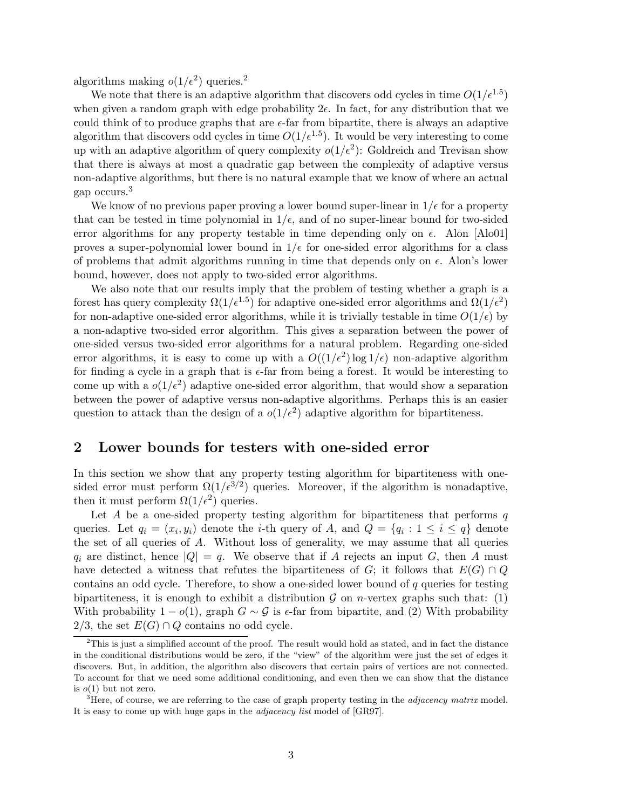algorithms making  $o(1/\epsilon^2)$  queries.<sup>2</sup>

We note that there is an adaptive algorithm that discovers odd cycles in time  $O(1/\epsilon^{1.5})$ when given a random graph with edge probability  $2\epsilon$ . In fact, for any distribution that we could think of to produce graphs that are  $\epsilon$ -far from bipartite, there is always an adaptive algorithm that discovers odd cycles in time  $O(1/\epsilon^{1.5})$ . It would be very interesting to come up with an adaptive algorithm of query complexity  $o(1/\epsilon^2)$ : Goldreich and Trevisan show that there is always at most a quadratic gap between the complexity of adaptive versus non-adaptive algorithms, but there is no natural example that we know of where an actual gap occurs.<sup>3</sup>

We know of no previous paper proving a lower bound super-linear in  $1/\epsilon$  for a property that can be tested in time polynomial in  $1/\epsilon$ , and of no super-linear bound for two-sided error algorithms for any property testable in time depending only on  $\epsilon$ . Alon [Alo01] proves a super-polynomial lower bound in  $1/\epsilon$  for one-sided error algorithms for a class of problems that admit algorithms running in time that depends only on  $\epsilon$ . Alon's lower bound, however, does not apply to two-sided error algorithms.

We also note that our results imply that the problem of testing whether a graph is a forest has query complexity  $\Omega(1/\epsilon^{1.5})$  for adaptive one-sided error algorithms and  $\Omega(1/\epsilon^2)$ for non-adaptive one-sided error algorithms, while it is trivially testable in time  $O(1/\epsilon)$  by a non-adaptive two-sided error algorithm. This gives a separation between the power of one-sided versus two-sided error algorithms for a natural problem. Regarding one-sided error algorithms, it is easy to come up with a  $O((1/\epsilon^2) \log 1/\epsilon)$  non-adaptive algorithm for finding a cycle in a graph that is  $\epsilon$ -far from being a forest. It would be interesting to come up with a  $o(1/\epsilon^2)$  adaptive one-sided error algorithm, that would show a separation between the power of adaptive versus non-adaptive algorithms. Perhaps this is an easier question to attack than the design of a  $o(1/\epsilon^2)$  adaptive algorithm for bipartiteness.

### 2 Lower bounds for testers with one-sided error

In this section we show that any property testing algorithm for bipartiteness with onesided error must perform  $\Omega(1/\epsilon^{3/2})$  queries. Moreover, if the algorithm is nonadaptive, then it must perform  $\Omega(1/\epsilon^2)$  queries.

Let A be a one-sided property testing algorithm for bipartiteness that performs  $q$ queries. Let  $q_i = (x_i, y_i)$  denote the *i*-th query of A, and  $Q = \{q_i : 1 \leq i \leq q\}$  denote the set of all queries of A. Without loss of generality, we may assume that all queries  $q_i$  are distinct, hence  $|Q| = q$ . We observe that if A rejects an input G, then A must have detected a witness that refutes the bipartiteness of G; it follows that  $E(G) \cap Q$ contains an odd cycle. Therefore, to show a one-sided lower bound of  $q$  queries for testing bipartiteness, it is enough to exhibit a distribution  $G$  on *n*-vertex graphs such that: (1) With probability  $1 - o(1)$ , graph  $G \sim \mathcal{G}$  is  $\epsilon$ -far from bipartite, and (2) With probability 2/3, the set  $E(G) \cap Q$  contains no odd cycle.

 $^{2}$ This is just a simplified account of the proof. The result would hold as stated, and in fact the distance in the conditional distributions would be zero, if the "view" of the algorithm were just the set of edges it discovers. But, in addition, the algorithm also discovers that certain pairs of vertices are not connected. To account for that we need some additional conditioning, and even then we can show that the distance is  $o(1)$  but not zero.

 ${}^{3}$ Here, of course, we are referring to the case of graph property testing in the *adjacency matrix* model. It is easy to come up with huge gaps in the adjacency list model of [GR97].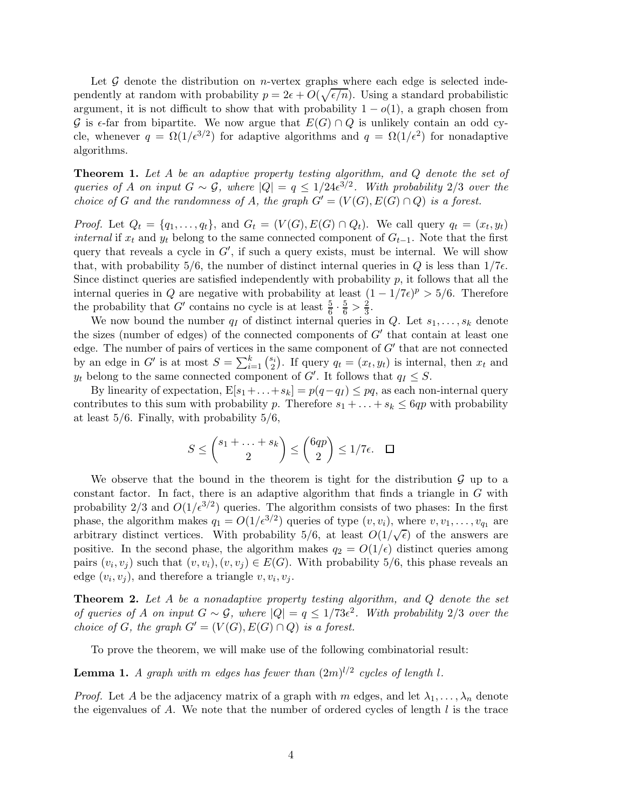Let  $G$  denote the distribution on *n*-vertex graphs where each edge is selected independently at random with probability  $p = 2\epsilon + O(\sqrt{\epsilon/n})$ . Using a standard probabilistic argument, it is not difficult to show that with probability  $1 - o(1)$ , a graph chosen from G is  $\epsilon$ -far from bipartite. We now argue that  $E(G) \cap Q$  is unlikely contain an odd cycle, whenever  $q = \Omega(1/\epsilon^{3/2})$  for adaptive algorithms and  $q = \Omega(1/\epsilon^2)$  for nonadaptive algorithms.

Theorem 1. Let A be an adaptive property testing algorithm, and Q denote the set of queries of A on input  $G \sim \mathcal{G}$ , where  $|Q| = q \leq 1/24\epsilon^{3/2}$ . With probability 2/3 over the choice of G and the randomness of A, the graph  $G' = (V(G), E(G) \cap Q)$  is a forest.

*Proof.* Let  $Q_t = \{q_1, \ldots, q_t\}$ , and  $G_t = (V(G), E(G) \cap Q_t)$ . We call query  $q_t = (x_t, y_t)$ *internal* if  $x_t$  and  $y_t$  belong to the same connected component of  $G_{t-1}$ . Note that the first query that reveals a cycle in  $G'$ , if such a query exists, must be internal. We will show that, with probability 5/6, the number of distinct internal queries in Q is less than  $1/7\epsilon$ . Since distinct queries are satisfied independently with probability  $p$ , it follows that all the internal queries in Q are negative with probability at least  $(1 - 1/7\epsilon)^p > 5/6$ . Therefore the probability that G' contains no cycle is at least  $\frac{5}{6} \cdot \frac{5}{6} > \frac{2}{3}$ .

We now bound the number  $q_I$  of distinct internal queries in Q. Let  $s_1, \ldots, s_k$  denote the sizes (number of edges) of the connected components of  $G'$  that contain at least one edge. The number of pairs of vertices in the same component of  $G'$  that are not connected by an edge in  $G'$  is at most  $S = \sum_{i=1}^{k} {s_i \choose 2}$  $\binom{s_i}{2}$ . If query  $q_t = (x_t, y_t)$  is internal, then  $x_t$  and  $y_t$  belong to the same connected component of  $G'$ . It follows that  $q_I \leq S$ .

By linearity of expectation,  $E[s_1+\ldots+s_k] = p(q-q_I) \leq pq$ , as each non-internal query contributes to this sum with probability p. Therefore  $s_1 + \ldots + s_k \leq 6qp$  with probability at least  $5/6$ . Finally, with probability  $5/6$ ,

$$
S \le \binom{s_1 + \ldots + s_k}{2} \le \binom{6qp}{2} \le 1/7\epsilon. \quad \Box
$$

We observe that the bound in the theorem is tight for the distribution  $\mathcal G$  up to a constant factor. In fact, there is an adaptive algorithm that finds a triangle in  $G$  with probability  $2/3$  and  $O(1/\epsilon^{3/2})$  queries. The algorithm consists of two phases: In the first phase, the algorithm makes  $q_1 = O(1/\epsilon^{3/2})$  queries of type  $(v, v_i)$ , where  $v, v_1, \ldots, v_{q_1}$  are arbitrary distinct vertices. With probability 5/6, at least  $O(1/\sqrt{\epsilon})$  of the answers are positive. In the second phase, the algorithm makes  $q_2 = O(1/\epsilon)$  distinct queries among pairs  $(v_i, v_j)$  such that  $(v, v_i), (v, v_j) \in E(G)$ . With probability 5/6, this phase reveals an edge  $(v_i, v_j)$ , and therefore a triangle  $v, v_i, v_j$ .

**Theorem 2.** Let A be a nonadaptive property testing algorithm, and  $Q$  denote the set of queries of A on input  $G \sim \mathcal{G}$ , where  $|Q| = q \leq 1/73\epsilon^2$ . With probability 2/3 over the choice of G, the graph  $G' = (V(G), E(G) \cap Q)$  is a forest.

To prove the theorem, we will make use of the following combinatorial result:

**Lemma 1.** A graph with m edges has fewer than  $(2m)^{l/2}$  cycles of length l.

*Proof.* Let A be the adjacency matrix of a graph with m edges, and let  $\lambda_1, \ldots, \lambda_n$  denote the eigenvalues of  $A$ . We note that the number of ordered cycles of length  $l$  is the trace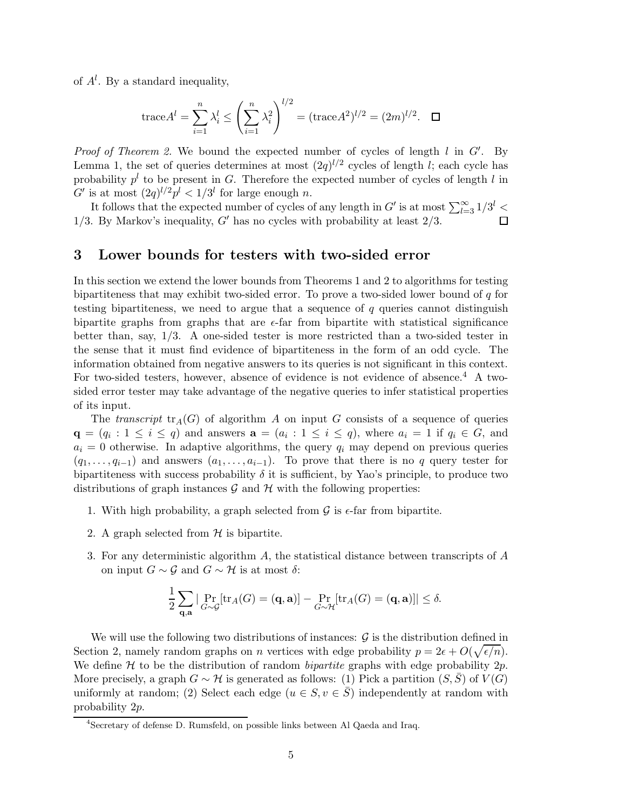of  $A^l$ . By a standard inequality,

trace
$$
A^l = \sum_{i=1}^n \lambda_i^l \le \left(\sum_{i=1}^n \lambda_i^2\right)^{l/2} = (\text{trace} A^2)^{l/2} = (2m)^{l/2}. \quad \Box
$$

*Proof of Theorem 2.* We bound the expected number of cycles of length  $l$  in  $G'$ . By Lemma 1, the set of queries determines at most  $(2q)^{l/2}$  cycles of length *l*; each cycle has probability  $p^{l}$  to be present in G. Therefore the expected number of cycles of length l in G' is at most  $(2q)^{l/2}p^l < 1/3^l$  for large enough n.

It follows that the expected number of cycles of any length in  $G'$  is at most  $\sum_{l=3}^{\infty} 1/3^l$  < 1/3. By Markov's inequality,  $G'$  has no cycles with probability at least  $2/3$ .  $\Box$ 

#### 3 Lower bounds for testers with two-sided error

In this section we extend the lower bounds from Theorems 1 and 2 to algorithms for testing bipartiteness that may exhibit two-sided error. To prove a two-sided lower bound of  $q$  for testing bipartiteness, we need to argue that a sequence of  $q$  queries cannot distinguish bipartite graphs from graphs that are  $\epsilon$ -far from bipartite with statistical significance better than, say, 1/3. A one-sided tester is more restricted than a two-sided tester in the sense that it must find evidence of bipartiteness in the form of an odd cycle. The information obtained from negative answers to its queries is not significant in this context. For two-sided testers, however, absence of evidence is not evidence of absence.<sup>4</sup> A twosided error tester may take advantage of the negative queries to infer statistical properties of its input.

The transcript  $tr_A(G)$  of algorithm A on input G consists of a sequence of queries  $\mathbf{q} = (q_i : 1 \leq i \leq q)$  and answers  $\mathbf{a} = (a_i : 1 \leq i \leq q)$ , where  $a_i = 1$  if  $q_i \in G$ , and  $a_i = 0$  otherwise. In adaptive algorithms, the query  $q_i$  may depend on previous queries  $(q_1, \ldots, q_{i-1})$  and answers  $(a_1, \ldots, a_{i-1})$ . To prove that there is no q query tester for bipartiteness with success probability  $\delta$  it is sufficient, by Yao's principle, to produce two distributions of graph instances  $\mathcal G$  and  $\mathcal H$  with the following properties:

- 1. With high probability, a graph selected from  $\mathcal G$  is  $\epsilon$ -far from bipartite.
- 2. A graph selected from  $H$  is bipartite.
- 3. For any deterministic algorithm A, the statistical distance between transcripts of A on input  $G \sim \mathcal{G}$  and  $G \sim \mathcal{H}$  is at most  $\delta$ :

$$
\frac{1}{2}\sum_{\mathbf{q},\mathbf{a}}|\Pr_{G\sim\mathcal{G}}[\mathrm{tr}_A(G)=(\mathbf{q},\mathbf{a})]-\Pr_{G\sim\mathcal{H}}[\mathrm{tr}_A(G)=(\mathbf{q},\mathbf{a})]|\leq \delta.
$$

We will use the following two distributions of instances:  $\mathcal G$  is the distribution defined in Section 2, namely random graphs on *n* vertices with edge probability  $p = 2\epsilon + O(\sqrt{\epsilon/n}).$ We define  $H$  to be the distribution of random *bipartite* graphs with edge probability  $2p$ . More precisely, a graph  $G \sim \mathcal{H}$  is generated as follows: (1) Pick a partition  $(S, \overline{S})$  of  $V(G)$ uniformly at random; (2) Select each edge  $(u \in S, v \in \overline{S})$  independently at random with probability 2p.

<sup>4</sup> Secretary of defense D. Rumsfeld, on possible links between Al Qaeda and Iraq.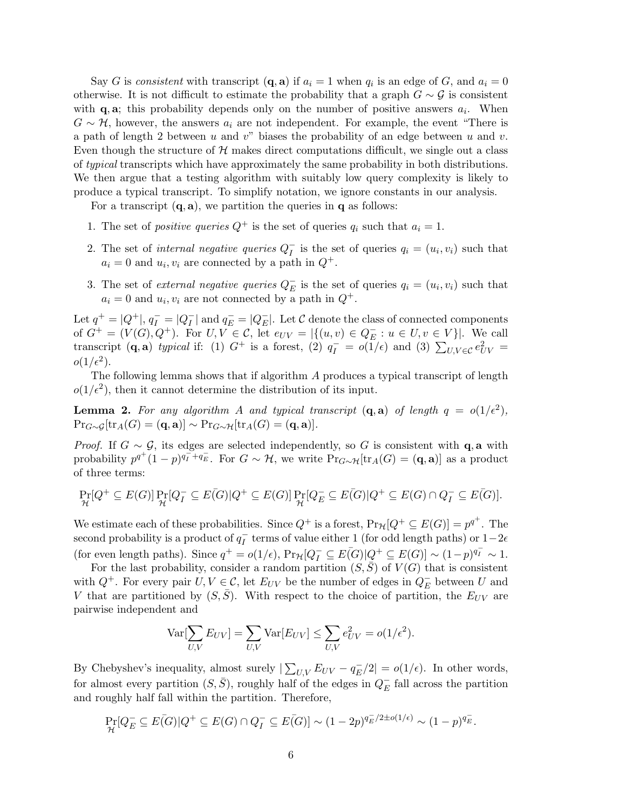Say G is consistent with transcript  $(\mathbf{q}, \mathbf{a})$  if  $a_i = 1$  when  $q_i$  is an edge of G, and  $a_i = 0$ otherwise. It is not difficult to estimate the probability that a graph  $G \sim \mathcal{G}$  is consistent with  $\mathbf{q}, \mathbf{a}$ ; this probability depends only on the number of positive answers  $a_i$ . When  $G \sim \mathcal{H}$ , however, the answers  $a_i$  are not independent. For example, the event "There is a path of length 2 between u and v" biases the probability of an edge between u and v. Even though the structure of  $H$  makes direct computations difficult, we single out a class of typical transcripts which have approximately the same probability in both distributions. We then argue that a testing algorithm with suitably low query complexity is likely to produce a typical transcript. To simplify notation, we ignore constants in our analysis.

For a transcript  $(q, a)$ , we partition the queries in q as follows:

- 1. The set of *positive queries*  $Q^+$  is the set of queries  $q_i$  such that  $a_i = 1$ .
- 2. The set of internal negative queries  $Q_I^ \overline{I}$  is the set of queries  $q_i = (u_i, v_i)$  such that  $a_i = 0$  and  $u_i, v_i$  are connected by a path in  $Q^+$ .
- 3. The set of *external negative queries*  $Q_E^ E$  is the set of queries  $q_i = (u_i, v_i)$  such that  $a_i = 0$  and  $u_i, v_i$  are not connected by a path in  $Q^+$ .

Let  $q^+ = |Q^+|, q_I^- = |Q_I^-|$  $\overline{I}_{I}$  and  $q_{E}^{-} = |Q_{E}^{-}|$  $E$ . Let C denote the class of connected components of  $G^+ = (V(G), Q^+)$ . For  $U, V \in \mathcal{C}$ , let  $e_{UV} = |\{(u, v) \in Q_E^ E: u \in U, v \in V$ . We call transcript  $(\mathbf{q}, \mathbf{a})$  typical if: (1)  $G^+$  is a forest, (2)  $q_I^- = o(1/\epsilon)$  and (3)  $\sum_{U,V \in \mathcal{C}} e_{UV}^2 =$  $o(1/\epsilon^2)$ .

The following lemma shows that if algorithm A produces a typical transcript of length  $o(1/\epsilon^2)$ , then it cannot determine the distribution of its input.

**Lemma 2.** For any algorithm A and typical transcript  $(\mathbf{q}, \mathbf{a})$  of length  $q = o(1/\epsilon^2)$ ,  $\Pr_{G \sim G}[\text{tr}_A(G) = (\mathbf{q}, \mathbf{a})] \sim \Pr_{G \sim H}[\text{tr}_A(G) = (\mathbf{q}, \mathbf{a})].$ 

*Proof.* If  $G \sim \mathcal{G}$ , its edges are selected independently, so G is consistent with q, a with probability  $p^{q^+}(1-p)^{q^-_I+q^-_E}$ . For  $G \sim \mathcal{H}$ , we write  $\Pr_{G \sim \mathcal{H}}[\text{tr}_A(G) = (\mathbf{q}, \mathbf{a})]$  as a product of three terms:

$$
\Pr_{\mathcal{H}}[Q^+ \subseteq E(G)] \Pr_{\mathcal{H}}[Q^-_I \subseteq E(\overline{G})|Q^+ \subseteq E(G)] \Pr_{\mathcal{H}}[Q^-_E \subseteq E(\overline{G})|Q^+ \subseteq E(G) \cap Q^-_I \subseteq E(\overline{G})].
$$

We estimate each of these probabilities. Since  $Q^+$  is a forest,  $Pr_{\mathcal{H}}[Q^+ \subseteq E(G)] = p^{q^+}$ . The second probability is a product of  $q_I^ \overline{I}$  terms of value either 1 (for odd length paths) or  $1-2\epsilon$ (for even length paths). Since  $q^+ = o(1/\epsilon)$ ,  $Pr_{\mathcal{H}}[Q_I^- \subseteq E(G)|Q^+ \subseteq E(G)] \sim (1-p)^{q_I^-} \sim 1$ .

For the last probability, consider a random partition  $(S,\bar{S})$  of  $V(G)$  that is consistent with  $Q^+$ . For every pair  $U, V \in \mathcal{C}$ , let  $E_{UV}$  be the number of edges in  $Q_E^-$  between U and V that are partitioned by  $(S, \overline{S})$ . With respect to the choice of partition, the  $E_{UV}$  are pairwise independent and

$$
\text{Var}[\sum_{U,V} E_{UV}] = \sum_{U,V} \text{Var}[E_{UV}] \le \sum_{U,V} e_{UV}^2 = o(1/\epsilon^2).
$$

By Chebyshev's inequality, almost surely  $|\sum_{U,V} E_{UV} - q_E^-/2| = o(1/\epsilon)$ . In other words, for almost every partition  $(S, \bar{S})$ , roughly half of the edges in  $Q_{E}^ E$  fall across the partition and roughly half fall within the partition. Therefore,

$$
\Pr_{\mathcal{H}}[Q_E^- \subseteq E(\overline{G})|Q^+ \subseteq E(G) \cap Q_I^- \subseteq E(\overline{G})] \sim (1-2p)^{q_E^-/2 \pm o(1/\epsilon)} \sim (1-p)^{q_E^-}.
$$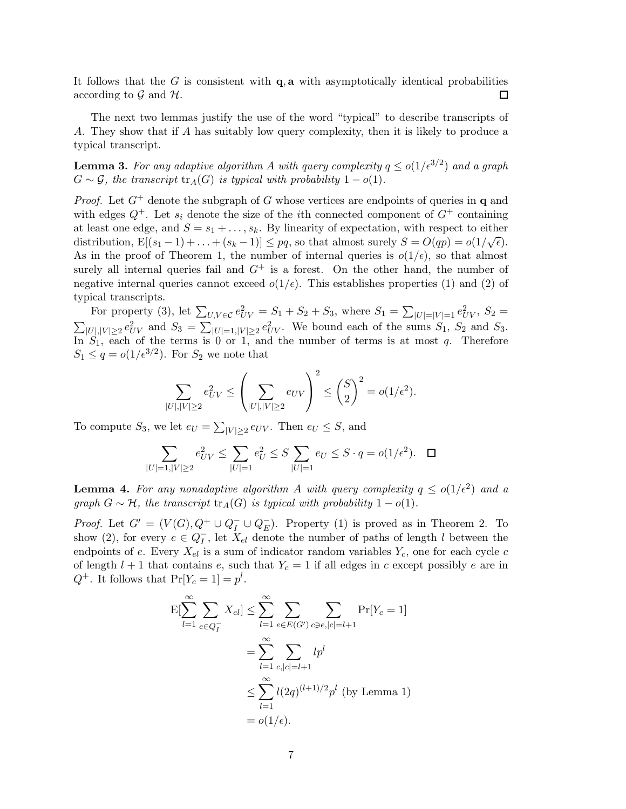It follows that the G is consistent with  $q$ , a with asymptotically identical probabilities according to  $\mathcal G$  and  $\mathcal H$ .  $\Box$ 

The next two lemmas justify the use of the word "typical" to describe transcripts of A. They show that if A has suitably low query complexity, then it is likely to produce a typical transcript.

**Lemma 3.** For any adaptive algorithm A with query complexity  $q \leq o(1/\epsilon^{3/2})$  and a graph  $G \sim \mathcal{G}$ , the transcript  $\text{tr}_A(G)$  is typical with probability  $1 - o(1)$ .

*Proof.* Let  $G^+$  denote the subgraph of G whose vertices are endpoints of queries in q and with edges  $Q^+$ . Let  $s_i$  denote the size of the *i*th connected component of  $G^+$  containing at least one edge, and  $S = s_1 + \ldots, s_k$ . By linearity of expectation, with respect to either distribution,  $E[(s_1-1)+...+(s_k-1)] \le pq$ , so that almost surely  $S = O(qp) = o(1/\sqrt{\epsilon})$ . As in the proof of Theorem 1, the number of internal queries is  $o(1/\epsilon)$ , so that almost surely all internal queries fail and  $G^+$  is a forest. On the other hand, the number of negative internal queries cannot exceed  $o(1/\epsilon)$ . This establishes properties (1) and (2) of typical transcripts.

For property (3), let  $\sum_{U,V \in \mathcal{C}} e_{UV}^2 = S_1 + S_2 + S_3$ , where  $S_1 = \sum_{|U|=|V|=1} e_{UV}^2$ ,  $S_2 =$  $\sum_{|U|,|V|\geq 2}e_{UV}^2$  and  $S_3=\sum_{|U|=1,|V|\geq 2}e_{UV}^2$ . We bound each of the sums  $S_1$ ,  $S_2$  and  $S_3$ . In  $S_1$ , each of the terms is 0 or 1, and the number of terms is at most q. Therefore  $S_1 \leq q = o(1/\epsilon^{3/2})$ . For  $S_2$  we note that

$$
\sum_{|U|,|V|\geq 2}e_{UV}^2\leq \left(\sum_{|U|,|V|\geq 2}e_{UV}\right)^2\leq {S\choose 2}^2=o(1/\epsilon^2).
$$

To compute  $S_3$ , we let  $e_U = \sum_{|V| \geq 2} e_{UV}$ . Then  $e_U \leq S$ , and

$$
\sum_{|U|=1, |V|\geq 2} e_{UV}^2 \leq \sum_{|U|=1} e_U^2 \leq S \sum_{|U|=1} e_U \leq S \cdot q = o(1/\epsilon^2). \quad \Box
$$

**Lemma 4.** For any nonadaptive algorithm A with query complexity  $q \leq o(1/\epsilon^2)$  and a graph  $G \sim \mathcal{H}$ , the transcript  $\text{tr}_A(G)$  is typical with probability  $1 - o(1)$ .

*Proof.* Let  $G' = (V(G), Q^+ \cup Q_I^- \cup Q_E^-)$  $\bar{E}$ ). Property (1) is proved as in Theorem 2. To show (2), for every  $e \in Q_I^-$ , let  $X_{el}$  denote the number of paths of length l between the endpoints of e. Every  $X_{el}$  is a sum of indicator random variables  $Y_c$ , one for each cycle c of length  $l + 1$  that contains  $e$ , such that  $Y_c = 1$  if all edges in c except possibly  $e$  are in  $Q^+$ . It follows that  $Pr[Y_c = 1] = p^l$ .

$$
E[\sum_{l=1}^{\infty} \sum_{e \in Q_I^-} X_{el}] \leq \sum_{l=1}^{\infty} \sum_{e \in E(G')} \sum_{c \ni e, |c| = l+1} \Pr[Y_c = 1]
$$

$$
= \sum_{l=1}^{\infty} \sum_{c, |c| = l+1} lp^l
$$

$$
\leq \sum_{l=1}^{\infty} l(2q)^{(l+1)/2} p^l \text{ (by Lemma 1)}
$$

$$
= o(1/\epsilon).
$$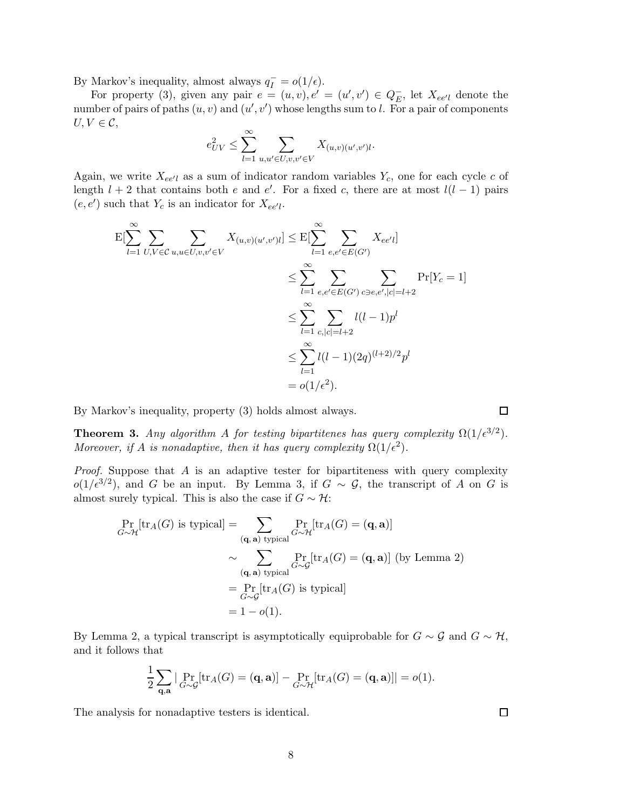By Markov's inequality, almost always  $q_I^- = o(1/\epsilon)$ .

For property (3), given any pair  $e = (u, v), e' = (u', v') \in Q_E^ E$ , let  $X_{ee'l}$  denote the number of pairs of paths  $(u, v)$  and  $(u', v')$  whose lengths sum to l. For a pair of components  $U, V \in \mathcal{C}$ ,

$$
e_{UV}^2 \le \sum_{l=1}^{\infty} \sum_{u,u' \in U, v,v' \in V} X_{(u,v)(u',v')l}.
$$

Again, we write  $X_{ee'l}$  as a sum of indicator random variables  $Y_c$ , one for each cycle c of length  $l + 2$  that contains both e and e'. For a fixed c, there are at most  $l(l - 1)$  pairs  $(e, e')$  such that  $Y_c$  is an indicator for  $X_{ee'l}$ .

$$
E[\sum_{l=1}^{\infty} \sum_{U,V \in \mathcal{C}} \sum_{u,u \in U,v,v' \in V} X_{(u,v)(u',v')l}] \leq E[\sum_{l=1}^{\infty} \sum_{e,e' \in E(G')} X_{ee'l}]
$$
  

$$
\leq \sum_{l=1}^{\infty} \sum_{e,e' \in E(G')} \sum_{c \ni e,e',|c|=l+2} \Pr[Y_c = 1]
$$
  

$$
\leq \sum_{l=1}^{\infty} \sum_{c,|c|=l+2} l(l-1)p^l
$$
  

$$
\leq \sum_{l=1}^{\infty} l(l-1)(2q)^{(l+2)/2}p^l
$$
  

$$
= o(1/\epsilon^2).
$$

By Markov's inequality, property (3) holds almost always.

**Theorem 3.** Any algorithm A for testing bipartitenes has query complexity  $\Omega(1/\epsilon^{3/2})$ . Moreover, if A is nonadaptive, then it has query complexity  $\Omega(1/\epsilon^2)$ .

*Proof.* Suppose that  $A$  is an adaptive tester for bipartiteness with query complexity  $o(1/\epsilon^{3/2})$ , and G be an input. By Lemma 3, if  $G \sim \mathcal{G}$ , the transcript of A on G is almost surely typical. This is also the case if  $G \sim \mathcal{H}$ :

$$
\Pr_{G \sim \mathcal{H}}[\text{tr}_A(G) \text{ is typical}] = \sum_{(\mathbf{q}, \mathbf{a}) \text{ typical}} \Pr_{G \sim \mathcal{H}}[\text{tr}_A(G) = (\mathbf{q}, \mathbf{a})]
$$

$$
\sim \sum_{(\mathbf{q}, \mathbf{a}) \text{ typical}} \Pr_{G \sim \mathcal{G}}[\text{tr}_A(G) = (\mathbf{q}, \mathbf{a})] \text{ (by Lemma 2)}
$$

$$
= \Pr_{G \sim \mathcal{G}}[\text{tr}_A(G) \text{ is typical}]
$$

$$
= 1 - o(1).
$$

By Lemma 2, a typical transcript is asymptotically equiprobable for  $G \sim \mathcal{G}$  and  $G \sim \mathcal{H}$ , and it follows that

$$
\frac{1}{2}\sum_{\mathbf{q},\mathbf{a}}|\Pr_{G\sim\mathcal{G}}[\mathrm{tr}_A(G)=(\mathbf{q},\mathbf{a})]-\Pr_{G\sim\mathcal{H}}[\mathrm{tr}_A(G)=(\mathbf{q},\mathbf{a})]|=o(1).
$$

The analysis for nonadaptive testers is identical.

 $\Box$ 

 $\Box$